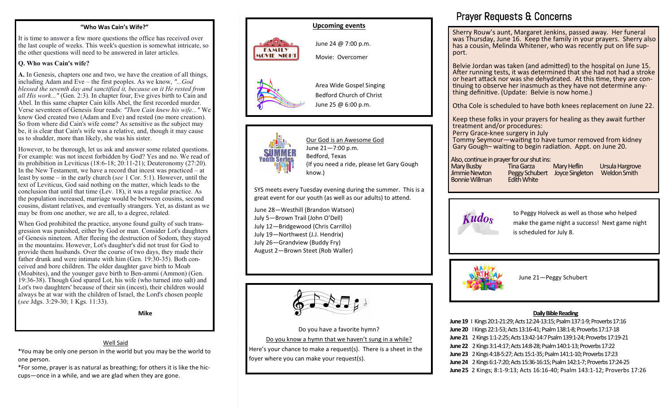#### **"Who Was Cain's Wife?"**

It is time to answer a few more questions the office has received over the last couple of weeks. This week's question is somewhat intricate, so the other questions will need to be answered in later articles.

#### **Q. Who was Cain's wife?**

**A.** In Genesis, chapters one and two, we have the creation of all things, including Adam and Eve – the first peoples. As we know, *"...God blessed the seventh day and sanctified it, because on it He rested from all His work..."* (Gen. 2:3). In chapter four, Eve gives birth to Cain and Abel. In this same chapter Cain kills Abel, the first recorded murder. Verse seventeen of Genesis four reads: *"Then Cain knew his wife..."* We know God created two (Adam and Eve) and rested (no more creation). So from where did Cain's wife come? As sensitive as the subject may be, it is clear that Cain's wife was a relative, and, though it may cause us to shudder, more than likely, she was his sister.

However, to be thorough, let us ask and answer some related questions. For example: was not incest forbidden by God? Yes and no. We read of its prohibition in Leviticus (18:6-18; 20:11-21); Deuteronomy (27:20). In the New Testament, we have a record that incest was practiced – at least by some – in the early church (*see* 1 Cor. 5:1). However, until the text of Leviticus, God said nothing on the matter, which leads to the conclusion that until that time (Lev. 18), it was a regular practice. As the population increased, marriage would be between cousins, second cousins, distant relatives, and eventually strangers. Yet, as distant as we may be from one another, we are all, to a degree, related.

When God prohibited the practice, anyone found guilty of such transgression was punished, either by God or man. Consider Lot's daughters of Genesis nineteen. After fleeing the destruction of Sodom, they stayed in the mountains. However, Lot's daughter's did not trust for God to provide them husbands. Over the course of two days, they made their father drunk and were intimate with him (Gen. 19:30-35). Both conceived and bore children. The older daughter gave birth to Moab (Moabites), and the younger gave birth to Ben-ammi (Ammon) (Gen. 19:36-38). Though God spared Lot, his wife (who turned into salt) and Lot's two daughters' because of their sin (incest), their children would always be at war with the children of Israel, the Lord's chosen people (*see* Jdgs. 3:29-30; 1 Kgs. 11:33).

**Mike**

#### Well Said

\*You may be only one person in the world but you may be the world to one person.

\*For some, prayer is as natural as breathing; for others it is like the hiccups—once in a while, and we are glad when they are gone.



June 24 @ 7:00 p.m. Movie: Overcomer

Area Wide Gospel Singing Bedford Church of Christ June 25 @ 6:00 p.m.



**FAMILY MOVIE NIGHT** 



Our God is an Awesome God June 21—7:00 p.m. Bedford, Texas (If you need a ride, please let Gary Gough know.)

SYS meets every Tuesday evening during the summer. This is a great event for our youth (as well as our adults) to attend.

June 28—Westhill (Brandon Watson) July 5—Brown Trail (John O'Dell) July 12—Bridgewood (Chris Carrillo) July 19—Northwest (J.J. Hendrix) July 26—Grandview (Buddy Fry) August 2—Brown Steet (Rob Waller)



Do you have a favorite hymn? Do you know a hymn that we haven't sung in a while? Here's your chance to make a request(s). There is a sheet in the foyer where you can make your request(s).

### Prayer Requests & Concerns

Sherry Rouw's aunt, Margaret Jenkins, passed away. Her funeral was Thursday, June 16. Keep the family in your prayers. Sherry also has a cousin, Melinda Whitener, who was recently put on life support.

Belvie Jordan was taken (and admitted) to the hospital on June 15. After running tests, it was determined that she had not had a stroke or heart attack nor was she dehydrated. At this time, they are continuing to observe her inasmuch as they have not determine anything definitive. (Update: Belvie is now home.)

Otha Cole is scheduled to have both knees replacement on June 22.

Keep these folks in your prayers for healing as they await further treatment and/or procedures:

Perry Grace-knee surgery in July

Tommy Seymour—waiting to have tumor removed from kidney Gary Gough– waiting to begin radiation. Appt. on June 20.

## Also, continue in prayer for our shut ins:

Bonnie Willman

Mary Busby Tina Garza Mary Heflin Ursula Hargrove Peggy Schubert Joyce Singleton<br>Fdith White



to Peggy Holveck as well as those who helped make the game night a success! Next game night is scheduled for July 8.



June 21—Peggy Schubert

#### **Daily Bible Reading**

**June 19** I Kings 20:1-21:29; Acts 12:24-13:15; Psalm 137:1-9; Proverbs 17:16 **June 20** I Kings 22:1-53; Acts 13:16-41; Psalm 138:1-8; Proverbs 17:17-18 **June 21** 2 Kings 1:1-2:25; Acts 13:42-14:7 Psalm 139:1-24; Proverbs 17:19-21 **June 22** 2 Kings 3:1-4:17; Acts 14:8-28; Psalm 140:1-13; Proverbs 17:22 **June 23** 2 Kings 4:18-5:27; Acts 15:1-35; Psalm 141:1-10; Proverbs 17:23 **June 24** 2 Kings 6:1-7:20; Acts 15:36-16:15; Psalm 142:1-7; Proverbs 17:24-25 **June 25** 2 Kings; 8:1-9:13; Acts 16:16-40; Psalm 143:1-12; Proverbs 17:26